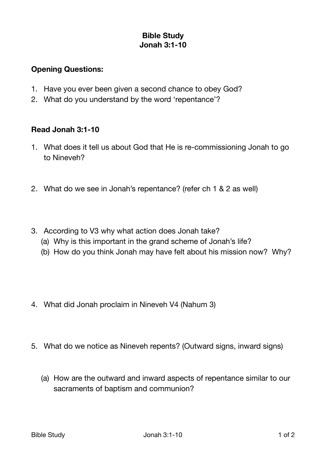## **Bible Study Jonah 3:1-10**

## **Opening Questions:**

- 1. Have you ever been given a second chance to obey God?
- 2. What do you understand by the word 'repentance'?

## **Read Jonah 3:1-10**

- 1. What does it tell us about God that He is re-commissioning Jonah to go to Nineveh?
- 2. What do we see in Jonah's repentance? (refer ch 1 & 2 as well)
- 3. According to V3 why what action does Jonah take?
	- (a) Why is this important in the grand scheme of Jonah's life?
	- (b) How do you think Jonah may have felt about his mission now? Why?
- 4. What did Jonah proclaim in Nineveh V4 (Nahum 3)
- 5. What do we notice as Nineveh repents? (Outward signs, inward signs)
	- (a) How are the outward and inward aspects of repentance similar to our sacraments of baptism and communion?